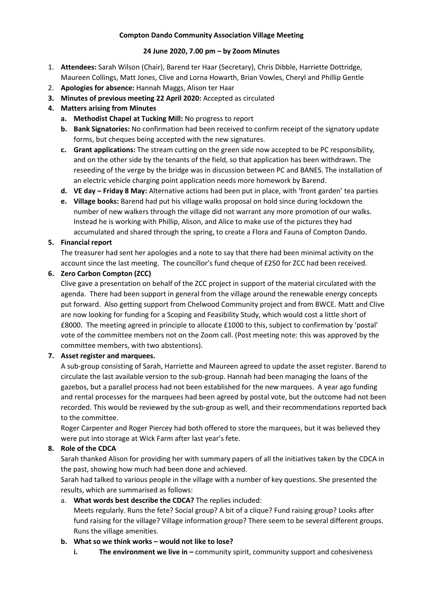### **Compton Dando Community Association Village Meeting**

### **24 June 2020, 7.00 pm – by Zoom Minutes**

- 1. **Attendees:** Sarah Wilson (Chair), Barend ter Haar (Secretary), Chris Dibble, Harriette Dottridge, Maureen Collings, Matt Jones, Clive and Lorna Howarth, Brian Vowles, Cheryl and Phillip Gentle
- 2. **Apologies for absence:** Hannah Maggs, Alison ter Haar
- **3. Minutes of previous meeting 22 April 2020:** Accepted as circulated
- **4. Matters arising from Minutes**
	- **a. Methodist Chapel at Tucking Mill:** No progress to report
	- **b. Bank Signatories:** No confirmation had been received to confirm receipt of the signatory update forms, but cheques being accepted with the new signatures.
	- **c. Grant applications:** The stream cutting on the green side now accepted to be PC responsibility, and on the other side by the tenants of the field, so that application has been withdrawn. The reseeding of the verge by the bridge was in discussion between PC and BANES. The installation of an electric vehicle charging point application needs more homework by Barend.
	- **d. VE day – Friday 8 May:** Alternative actions had been put in place, with 'front garden' tea parties
	- **e. Village books:** Barend had put his village walks proposal on hold since during lockdown the number of new walkers through the village did not warrant any more promotion of our walks. Instead he is working with Phillip, Alison, and Alice to make use of the pictures they had accumulated and shared through the spring, to create a Flora and Fauna of Compton Dando.

## **5. Financial report**

The treasurer had sent her apologies and a note to say that there had been minimal activity on the account since the last meeting. The councillor's fund cheque of £250 for ZCC had been received.

## **6. Zero Carbon Compton (ZCC)**

Clive gave a presentation on behalf of the ZCC project in support of the material circulated with the agenda. There had been support in general from the village around the renewable energy concepts put forward. Also getting support from Chelwood Community project and from BWCE. Matt and Clive are now looking for funding for a Scoping and Feasibility Study, which would cost a little short of £8000. The meeting agreed in principle to allocate £1000 to this, subject to confirmation by 'postal' vote of the committee members not on the Zoom call. (Post meeting note: this was approved by the committee members, with two abstentions).

### **7. Asset register and marquees.**

A sub-group consisting of Sarah, Harriette and Maureen agreed to update the asset register. Barend to circulate the last available version to the sub-group. Hannah had been managing the loans of the gazebos, but a parallel process had not been established for the new marquees. A year ago funding and rental processes for the marquees had been agreed by postal vote, but the outcome had not been recorded. This would be reviewed by the sub-group as well, and their recommendations reported back to the committee.

Roger Carpenter and Roger Piercey had both offered to store the marquees, but it was believed they were put into storage at Wick Farm after last year's fete.

# **8. Role of the CDCA**

Sarah thanked Alison for providing her with summary papers of all the initiatives taken by the CDCA in the past, showing how much had been done and achieved.

Sarah had talked to various people in the village with a number of key questions. She presented the results, which are summarised as follows:

# a. **What words best describe the CDCA?** The replies included:

Meets regularly. Runs the fete? Social group? A bit of a clique? Fund raising group? Looks after fund raising for the village? Village information group? There seem to be several different groups. Runs the village amenities.

### **b. What so we think works – would not like to lose?**

**i. The environment we live in** – community spirit, community support and cohesiveness